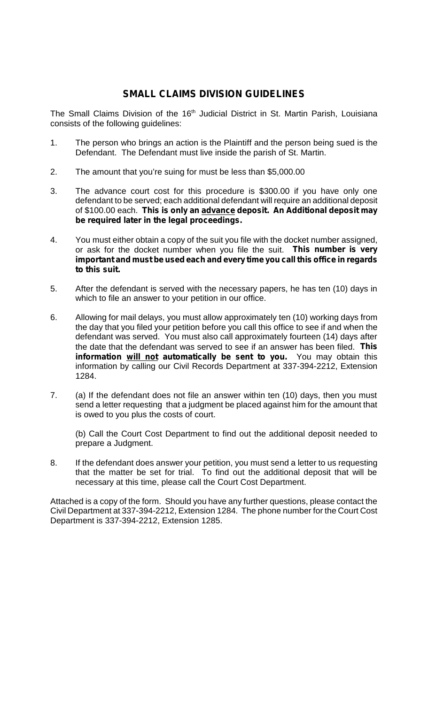## **SMALL CLAIMS DIVISION GUIDELINES**

The Small Claims Division of the 16<sup>th</sup> Judicial District in St. Martin Parish, Louisiana consists of the following guidelines:

- 1. The person who brings an action is the Plaintiff and the person being sued is the Defendant. The Defendant must live inside the parish of St. Martin.
- 2. The amount that you're suing for must be less than \$5,000.00
- 3. The advance court cost for this procedure is \$300.00 if you have only one defendant to be served; each additional defendant will require an additional deposit of \$100.00 each. **This is only an advance deposit. An Additional deposit may be required later in the legal proceedings.**
- 4. You must either obtain a copy of the suit you file with the docket number assigned, or ask for the docket number when you file the suit. **This number is very important and must be used each and every time you call this office in regards to this suit.**
- 5. After the defendant is served with the necessary papers, he has ten (10) days in which to file an answer to your petition in our office.
- 6. Allowing for mail delays, you must allow approximately ten (10) working days from the day that you filed your petition before you call this office to see if and when the defendant was served. You must also call approximately fourteen (14) days after the date that the defendant was served to see if an answer has been filed. **This information will not automatically be sent to you.** You may obtain this information by calling our Civil Records Department at 337-394-2212, Extension 1284.
- 7. (a) If the defendant does not file an answer within ten (10) days, then you must send a letter requesting that a judgment be placed against him for the amount that is owed to you plus the costs of court.

(b) Call the Court Cost Department to find out the additional deposit needed to prepare a Judgment.

8. If the defendant does answer your petition, you must send a letter to us requesting that the matter be set for trial. To find out the additional deposit that will be necessary at this time, please call the Court Cost Department.

Attached is a copy of the form. Should you have any further questions, please contact the Civil Department at 337-394-2212, Extension 1284. The phone number for the Court Cost Department is 337-394-2212, Extension 1285.